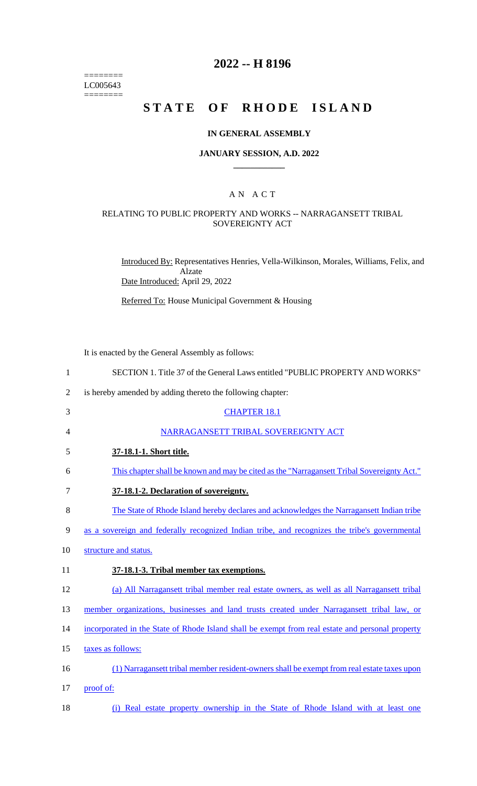======== LC005643 ========

# **2022 -- H 8196**

# **STATE OF RHODE ISLAND**

#### **IN GENERAL ASSEMBLY**

#### **JANUARY SESSION, A.D. 2022 \_\_\_\_\_\_\_\_\_\_\_\_**

## A N A C T

#### RELATING TO PUBLIC PROPERTY AND WORKS -- NARRAGANSETT TRIBAL SOVEREIGNTY ACT

Introduced By: Representatives Henries, Vella-Wilkinson, Morales, Williams, Felix, and Alzate Date Introduced: April 29, 2022

Referred To: House Municipal Government & Housing

It is enacted by the General Assembly as follows:

| $\mathbf{1}$   | SECTION 1. Title 37 of the General Laws entitled "PUBLIC PROPERTY AND WORKS"                     |
|----------------|--------------------------------------------------------------------------------------------------|
| $\overline{2}$ | is hereby amended by adding thereto the following chapter:                                       |
| 3              | <b>CHAPTER 18.1</b>                                                                              |
| 4              | NARRAGANSETT TRIBAL SOVEREIGNTY ACT                                                              |
| 5              | 37-18.1-1. Short title.                                                                          |
| 6              | This chapter shall be known and may be cited as the "Narragansett Tribal Sovereignty Act."       |
| 7              | 37-18.1-2. Declaration of sovereignty.                                                           |
| 8              | The State of Rhode Island hereby declares and acknowledges the Narragansett Indian tribe         |
| 9              | as a sovereign and federally recognized Indian tribe, and recognizes the tribe's governmental    |
| 10             | structure and status.                                                                            |
| 11             | 37-18.1-3. Tribal member tax exemptions.                                                         |
| 12             | (a) All Narragansett tribal member real estate owners, as well as all Narragansett tribal        |
| 13             | member organizations, businesses and land trusts created under Narragansett tribal law, or       |
| 14             | incorporated in the State of Rhode Island shall be exempt from real estate and personal property |
| 15             | taxes as follows:                                                                                |
| 16             | (1) Narragansett tribal member resident-owners shall be exempt from real estate taxes upon       |
| 17             | proof of:                                                                                        |
|                |                                                                                                  |

18 (i) Real estate property ownership in the State of Rhode Island with at least one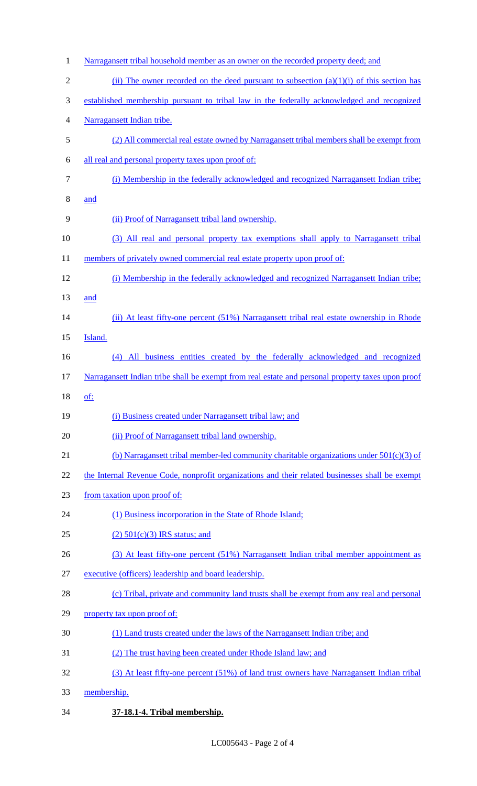| $\mathbf{1}$   | Narragansett tribal household member as an owner on the recorded property deed; and               |
|----------------|---------------------------------------------------------------------------------------------------|
| $\overline{2}$ | (ii) The owner recorded on the deed pursuant to subsection $(a)(1)(i)$ of this section has        |
| 3              | established membership pursuant to tribal law in the federally acknowledged and recognized        |
| 4              | Narragansett Indian tribe.                                                                        |
| 5              | (2) All commercial real estate owned by Narragansett tribal members shall be exempt from          |
| 6              | all real and personal property taxes upon proof of:                                               |
| 7              | (i) Membership in the federally acknowledged and recognized Narragansett Indian tribe;            |
| 8              | and                                                                                               |
| 9              | (ii) Proof of Narragansett tribal land ownership.                                                 |
| 10             | (3) All real and personal property tax exemptions shall apply to Narragansett tribal              |
| 11             | members of privately owned commercial real estate property upon proof of:                         |
| 12             | (i) Membership in the federally acknowledged and recognized Narragansett Indian tribe;            |
| 13             | and                                                                                               |
| 14             | (ii) At least fifty-one percent (51%) Narragansett tribal real estate ownership in Rhode          |
| 15             | Island.                                                                                           |
| 16             | (4) All business entities created by the federally acknowledged and recognized                    |
| 17             | Narragansett Indian tribe shall be exempt from real estate and personal property taxes upon proof |
| 18             | <u>of:</u>                                                                                        |
| 19             | (i) Business created under Narragansett tribal law; and                                           |
| 20             | (ii) Proof of Narragansett tribal land ownership.                                                 |
| 21             | (b) Narragansett tribal member-led community charitable organizations under $501(c)(3)$ of        |
| 22             | the Internal Revenue Code, nonprofit organizations and their related businesses shall be exempt   |
| 23             | from taxation upon proof of:                                                                      |
| 24             | (1) Business incorporation in the State of Rhode Island;                                          |
| 25             | $(2)$ 501(c)(3) IRS status; and                                                                   |
| 26             | (3) At least fifty-one percent (51%) Narragansett Indian tribal member appointment as             |
| 27             | executive (officers) leadership and board leadership.                                             |
| 28             | (c) Tribal, private and community land trusts shall be exempt from any real and personal          |
| 29             | property tax upon proof of:                                                                       |
| 30             | (1) Land trusts created under the laws of the Narragansett Indian tribe; and                      |
| 31             | (2) The trust having been created under Rhode Island law; and                                     |
| 32             | (3) At least fifty-one percent (51%) of land trust owners have Narragansett Indian tribal         |
| 33             | membership.                                                                                       |
|                |                                                                                                   |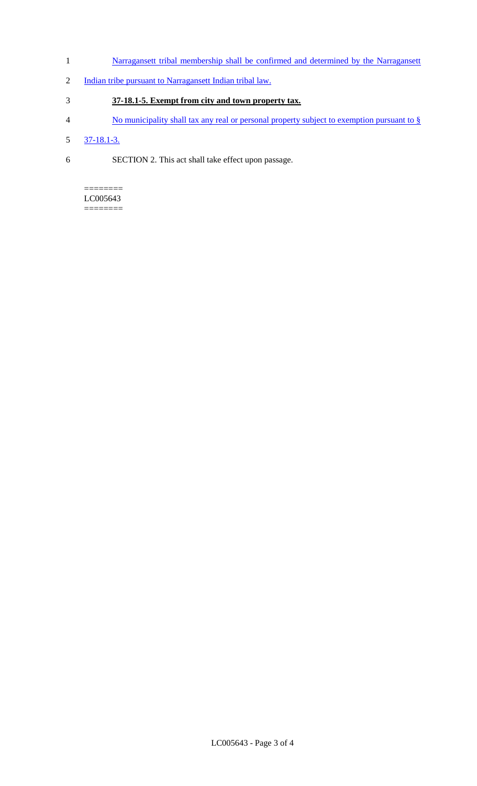- 1 **Narragansett tribal membership shall be confirmed and determined by the Narragansett**
- 2 Indian tribe pursuant to Narragansett Indian tribal law.

# 3 **37-18.1-5. Exempt from city and town property tax.**

- 4 No municipality shall tax any real or personal property subject to exemption pursuant to §
- 5 37-18.1-3.
- 6 SECTION 2. This act shall take effect upon passage.

#### ======== LC005643

========